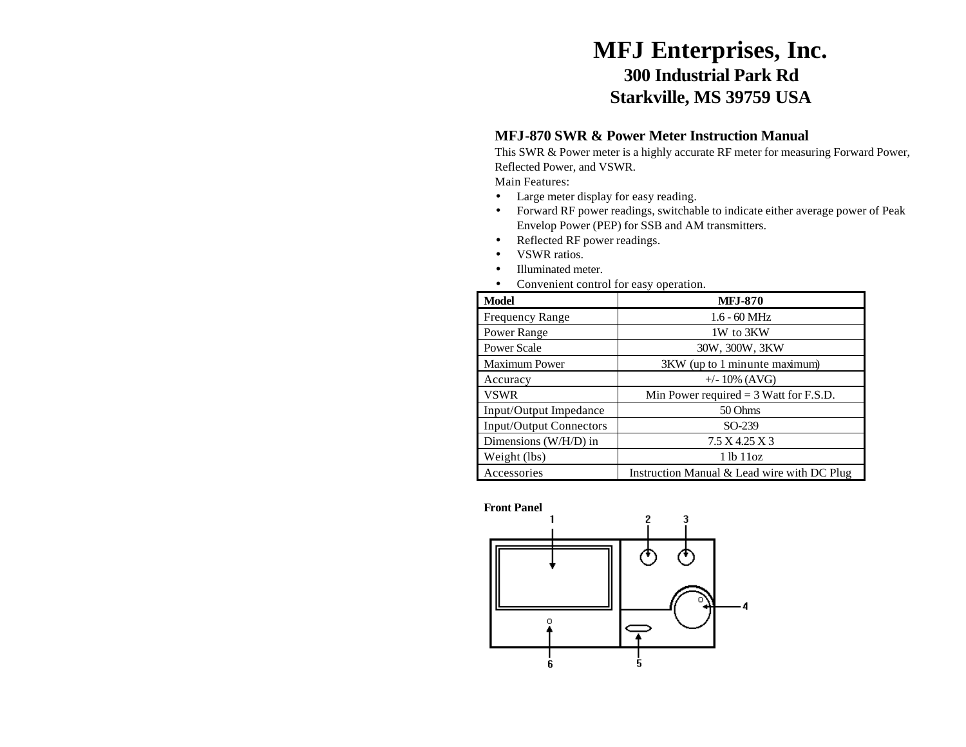# **MFJ Enterprises, Inc. 300 Industrial Park Rd Starkville, MS 39759 USA**

### **MFJ-870 SWR & Power Meter Instruction Manual**

This SWR & Power meter is a highly accurate RF meter for measuring Forward Power, Reflected Power, and VSWR.

Main Features:

- Large meter display for easy reading.
- Forward RF power readings, switchable to indicate either average power of Peak Envelop Power (PEP) for SSB and AM transmitters.
- Reflected RF power readings.
- VSWR ratios.
- Illuminated meter.
- Convenient control for easy operation.

| <b>Model</b>                   | <b>MFJ-870</b>                              |
|--------------------------------|---------------------------------------------|
| <b>Frequency Range</b>         | $1.6 - 60$ MHz                              |
| Power Range                    | 1W to 3KW                                   |
| <b>Power Scale</b>             | 30W, 300W, 3KW                              |
| <b>Maximum Power</b>           | 3KW (up to 1 minunte maximum)               |
| Accuracy                       | $+/- 10\%$ (AVG)                            |
| <b>VSWR</b>                    | Min Power required $=$ 3 Watt for F.S.D.    |
| Input/Output Impedance         | 50 Ohms                                     |
| <b>Input/Output Connectors</b> | SO-239                                      |
| Dimensions (W/H/D) in          | 7.5 X 4.25 X 3                              |
| Weight (lbs)                   | 1 lb 11 oz                                  |
| Accessories                    | Instruction Manual & Lead wire with DC Plug |

#### **Front Panel**

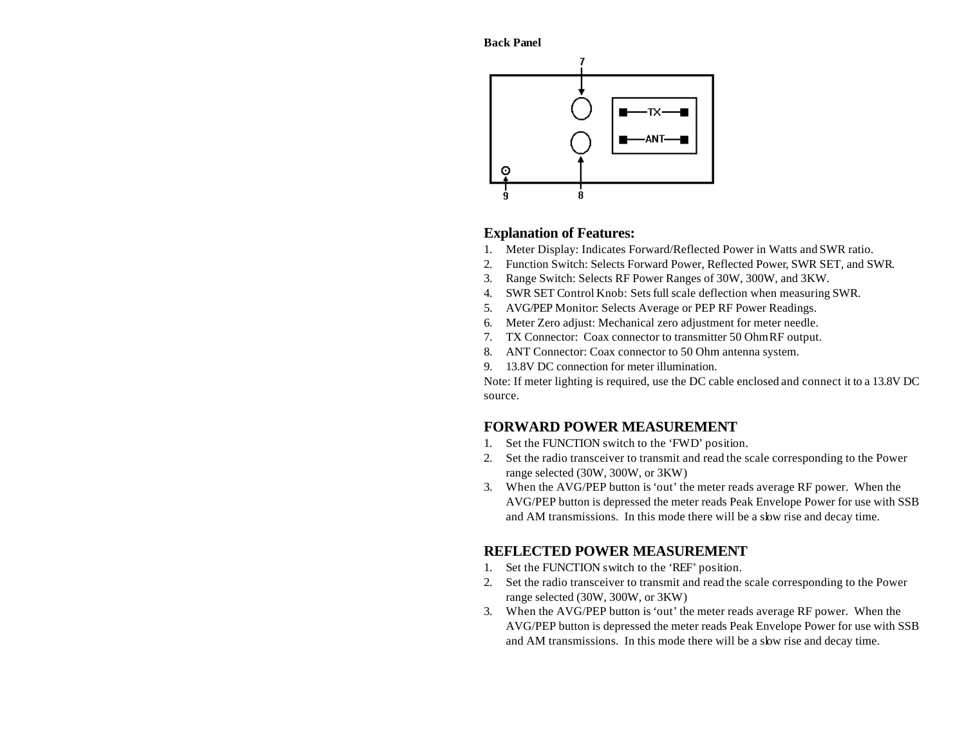**Back Panel**



#### **Explanation of Features:**

- 1. Meter Display: Indicates Forward/Reflected Power in Watts and SWR ratio.
- 2. Function Switch: Selects Forward Power, Reflected Power, SWR SET, and SWR.
- 3. Range Switch: Selects RF Power Ranges of 30W, 300W, and 3KW.
- 4. SWR SET Control Knob: Sets full scale deflection when measuring SWR.
- 5. AVG/PEP Monitor: Selects Average or PEP RF Power Readings.
- 6. Meter Zero adjust: Mechanical zero adjustment for meter needle.
- 7. TX Connector: Coax connector to transmitter 50 Ohm RF output.
- 8. ANT Connector: Coax connector to 50 Ohm antenna system.
- 9. 13.8V DC connection for meter illumination.

Note: If meter lighting is required, use the DC cable enclosed and connect it to a 13.8V DC source.

## **FORWARD POWER MEASUREMENT**

- 1. Set the FUNCTION switch to the 'FWD' position.
- 2. Set the radio transceiver to transmit and read the scale corresponding to the Power range selected (30W, 300W, or 3KW)
- 3. When the AVG/PEP button is 'out' the meter reads average RF power. When the AVG/PEP button is depressed the meter reads Peak Envelope Power for use with SSB and AM transmissions. In this mode there will be a slow rise and decay time.

## **REFLECTED POWER MEASUREMENT**

- 1. Set the FUNCTION switch to the 'REF' position.
- 2. Set the radio transceiver to transmit and read the scale corresponding to the Power range selected (30W, 300W, or 3KW)
- 3. When the AVG/PEP button is 'out' the meter reads average RF power. When the AVG/PEP button is depressed the meter reads Peak Envelope Power for use with SSB and AM transmissions. In this mode there will be a slow rise and decay time.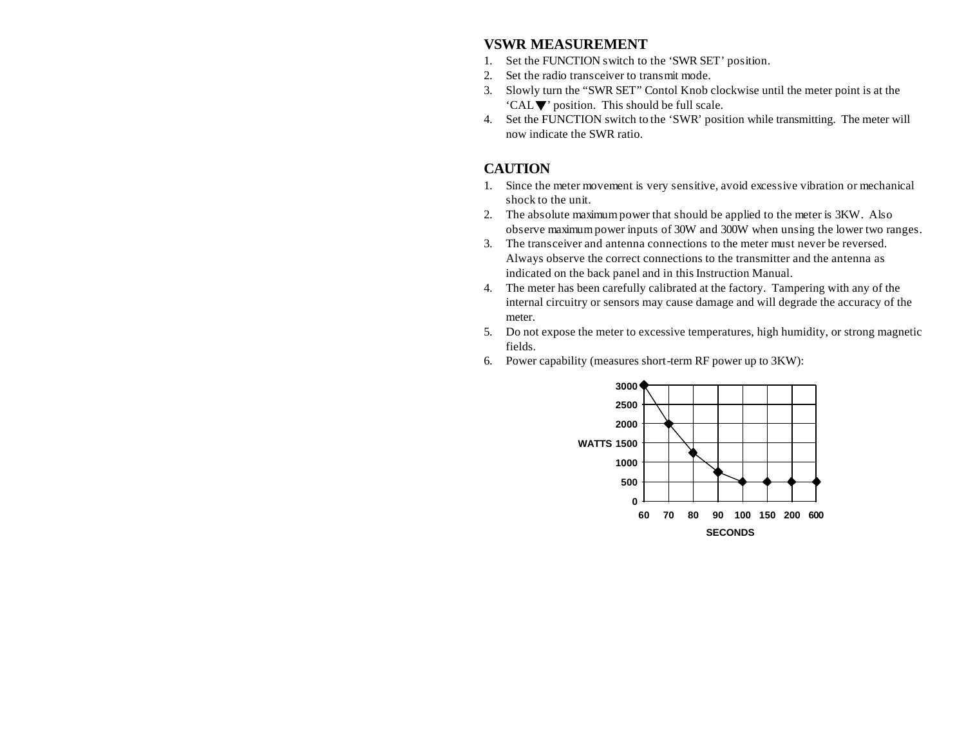#### **VSWR MEASUREMENT**

- 1. Set the FUNCTION switch to the 'SWR SET' position.
- 2. Set the radio transceiver to transmit mode.
- 3. Slowly turn the "SWR SET" Contol Knob clockwise until the meter point is at the 'CAL $\nabla$ ' position. This should be full scale.
- 4. Set the FUNCTION switch to the 'SWR' position while transmitting. The meter will now indicate the SWR ratio.

## **CAUTION**

- 1. Since the meter movement is very sensitive, avoid excessive vibration or mechanical shock to the unit.
- 2. The absolute maximumpower that should be applied to the meter is 3KW. Also observe maximumpower inputs of 30W and 300W when unsing the lower two ranges.
- 3. The transceiver and antenna connections to the meter must never be reversed. Always observe the correct connections to the transmitter and the antenna as indicated on the back panel and in this Instruction Manual.
- 4. The meter has been carefully calibrated at the factory. Tampering with any of the internal circuitry or sensors may cause damage and will degrade the accuracy of the meter.
- 5. Do not expose the meter to excessive temperatures, high humidity, or strong magnetic fields.
- 6. Power capability (measures short-term RF power up to 3KW):

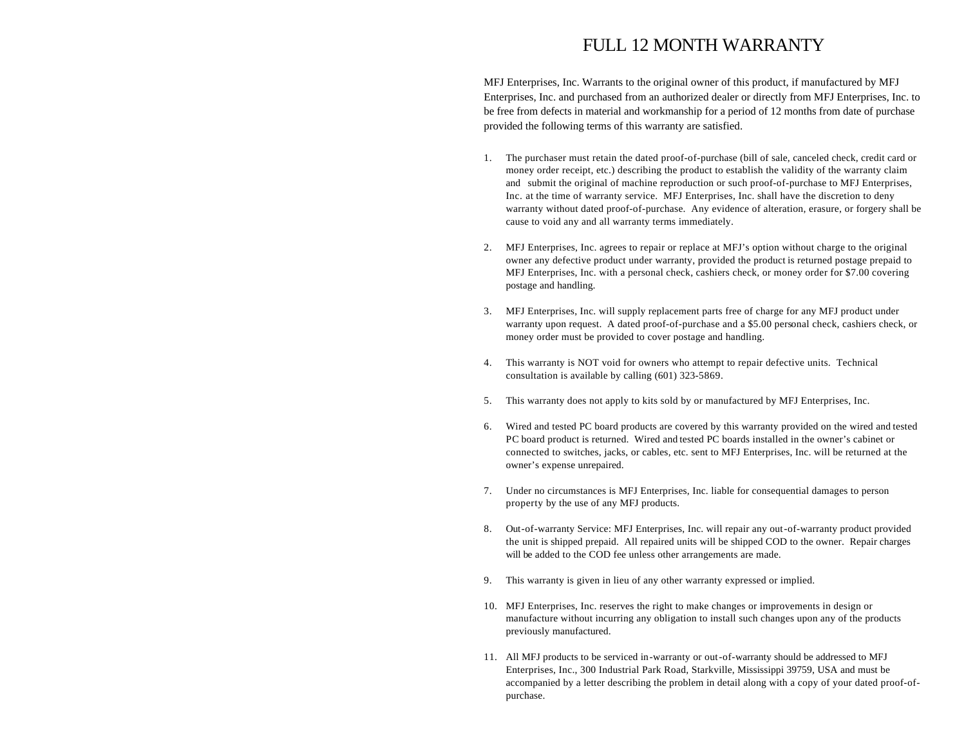# FULL 12 MONTH WARRANTY

MFJ Enterprises, Inc. Warrants to the original owner of this product, if manufactured by MFJ Enterprises, Inc. and purchased from an authorized dealer or directly from MFJ Enterprises, Inc. to be free from defects in material and workmanship for a period of 12 months from date of purchase provided the following terms of this warranty are satisfied.

- 1. The purchaser must retain the dated proof-of-purchase (bill of sale, canceled check, credit card or money order receipt, etc.) describing the product to establish the validity of the warranty claim and submit the original of machine reproduction or such proof-of-purchase to MFJ Enterprises, Inc. at the time of warranty service. MFJ Enterprises, Inc. shall have the discretion to deny warranty without dated proof-of-purchase. Any evidence of alteration, erasure, or forgery shall be cause to void any and all warranty terms immediately.
- 2. MFJ Enterprises, Inc. agrees to repair or replace at MFJ's option without charge to the original owner any defective product under warranty, provided the product is returned postage prepaid to MFJ Enterprises, Inc. with a personal check, cashiers check, or money order for \$7.00 covering postage and handling.
- 3. MFJ Enterprises, Inc. will supply replacement parts free of charge for any MFJ product under warranty upon request. A dated proof-of-purchase and a \$5.00 personal check, cashiers check, or money order must be provided to cover postage and handling.
- 4. This warranty is NOT void for owners who attempt to repair defective units. Technical consultation is available by calling (601) 323-5869.
- 5. This warranty does not apply to kits sold by or manufactured by MFJ Enterprises, Inc.
- 6. Wired and tested PC board products are covered by this warranty provided on the wired and tested PC board product is returned. Wired and tested PC boards installed in the owner's cabinet or connected to switches, jacks, or cables, etc. sent to MFJ Enterprises, Inc. will be returned at the owner's expense unrepaired.
- 7. Under no circumstances is MFJ Enterprises, Inc. liable for consequential damages to person property by the use of any MFJ products.
- 8. Out-of-warranty Service: MFJ Enterprises, Inc. will repair any out-of-warranty product provided the unit is shipped prepaid. All repaired units will be shipped COD to the owner. Repair charges will be added to the COD fee unless other arrangements are made.
- 9. This warranty is given in lieu of any other warranty expressed or implied.
- 10. MFJ Enterprises, Inc. reserves the right to make changes or improvements in design or manufacture without incurring any obligation to install such changes upon any of the products previously manufactured.
- 11. All MFJ products to be serviced in-warranty or out-of-warranty should be addressed to MFJ Enterprises, Inc., 300 Industrial Park Road, Starkville, Mississippi 39759, USA and must be accompanied by a letter describing the problem in detail along with a copy of your dated proof-ofpurchase.